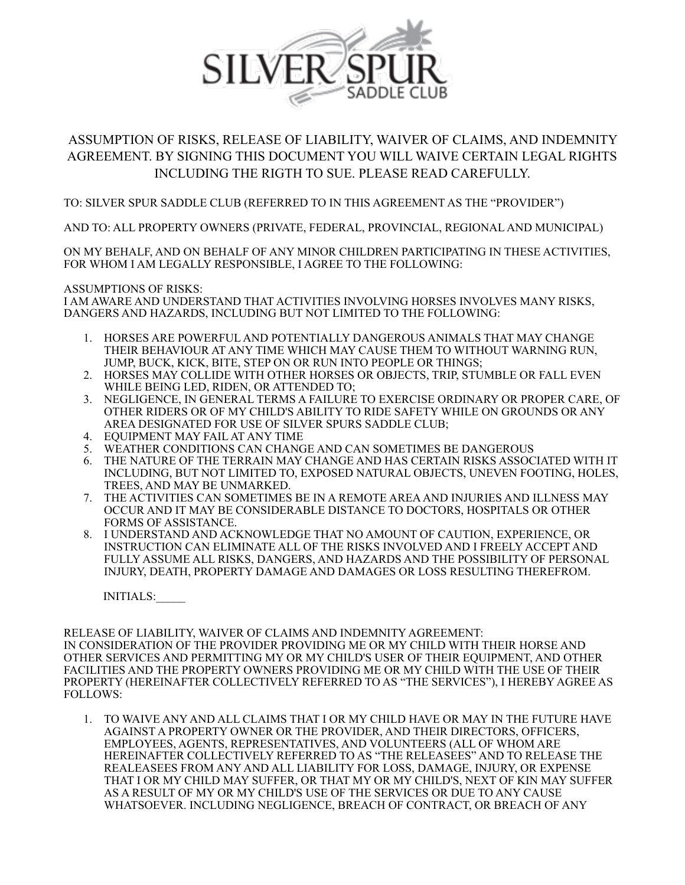

## ASSUMPTION OF RISKS, RELEASE OF LIABILITY, WAIVER OF CLAIMS, AND INDEMNITY AGREEMENT. BY SIGNING THIS DOCUMENT YOU WILL WAIVE CERTAIN LEGAL RIGHTS INCLUDING THE RIGTH TO SUE. PLEASE READ CAREFULLY.

TO: SILVER SPUR SADDLE CLUB (REFERRED TO IN THIS AGREEMENT AS THE "PROVIDER")

AND TO: ALL PROPERTY OWNERS (PRIVATE, FEDERAL, PROVINCIAL, REGIONAL AND MUNICIPAL)

ON MY BEHALF, AND ON BEHALF OF ANY MINOR CHILDREN PARTICIPATING IN THESE ACTIVITIES, FOR WHOM I AM LEGALLY RESPONSIBLE, I AGREE TO THE FOLLOWING:

## ASSUMPTIONS OF RISKS:

I AM AWARE AND UNDERSTAND THAT ACTIVITIES INVOLVING HORSES INVOLVES MANY RISKS, DANGERS AND HAZARDS, INCLUDING BUT NOT LIMITED TO THE FOLLOWING:

- 1. HORSES ARE POWERFUL AND POTENTIALLY DANGEROUS ANIMALS THAT MAY CHANGE THEIR BEHAVIOUR AT ANY TIME WHICH MAY CAUSE THEM TO WITHOUT WARNING RUN, JUMP, BUCK, KICK, BITE, STEP ON OR RUN INTO PEOPLE OR THINGS;
- 2. HORSES MAY COLLIDE WITH OTHER HORSES OR OBJECTS, TRIP, STUMBLE OR FALL EVEN WHILE BEING LED, RIDEN, OR ATTENDED TO;
- 3. NEGLIGENCE, IN GENERAL TERMS A FAILURE TO EXERCISE ORDINARY OR PROPER CARE, OF OTHER RIDERS OR OF MY CHILD'S ABILITY TO RIDE SAFETY WHILE ON GROUNDS OR ANY AREA DESIGNATED FOR USE OF SILVER SPURS SADDLE CLUB;
- 4. EQUIPMENT MAY FAIL AT ANY TIME
- 5. WEATHER CONDITIONS CAN CHANGE AND CAN SOMETIMES BE DANGEROUS
- 6. THE NATURE OF THE TERRAIN MAY CHANGE AND HAS CERTAIN RISKS ASSOCIATED WITH IT INCLUDING, BUT NOT LIMITED TO, EXPOSED NATURAL OBJECTS, UNEVEN FOOTING, HOLES, TREES, AND MAY BE UNMARKED.
- 7. THE ACTIVITIES CAN SOMETIMES BE IN A REMOTE AREA AND INJURIES AND ILLNESS MAY OCCUR AND IT MAY BE CONSIDERABLE DISTANCE TO DOCTORS, HOSPITALS OR OTHER FORMS OF ASSISTANCE.
- 8. I UNDERSTAND AND ACKNOWLEDGE THAT NO AMOUNT OF CAUTION, EXPERIENCE, OR INSTRUCTION CAN ELIMINATE ALL OF THE RISKS INVOLVED AND I FREELY ACCEPT AND FULLY ASSUME ALL RISKS, DANGERS, AND HAZARDS AND THE POSSIBILITY OF PERSONAL INJURY, DEATH, PROPERTY DAMAGE AND DAMAGES OR LOSS RESULTING THEREFROM.

INITIALS:\_\_\_\_\_

RELEASE OF LIABILITY, WAIVER OF CLAIMS AND INDEMNITY AGREEMENT: IN CONSIDERATION OF THE PROVIDER PROVIDING ME OR MY CHILD WITH THEIR HORSE AND OTHER SERVICES AND PERMITTING MY OR MY CHILD'S USER OF THEIR EQUIPMENT, AND OTHER FACILITIES AND THE PROPERTY OWNERS PROVIDING ME OR MY CHILD WITH THE USE OF THEIR PROPERTY (HEREINAFTER COLLECTIVELY REFERRED TO AS "THE SERVICES"), I HEREBY AGREE AS FOLLOWS:

1. TO WAIVE ANY AND ALL CLAIMS THAT I OR MY CHILD HAVE OR MAY IN THE FUTURE HAVE AGAINST A PROPERTY OWNER OR THE PROVIDER, AND THEIR DIRECTORS, OFFICERS, EMPLOYEES, AGENTS, REPRESENTATIVES, AND VOLUNTEERS (ALL OF WHOM ARE HEREINAFTER COLLECTIVELY REFERRED TO AS "THE RELEASEES" AND TO RELEASE THE REALEASEES FROM ANY AND ALL LIABILITY FOR LOSS, DAMAGE, INJURY, OR EXPENSE THAT I OR MY CHILD MAY SUFFER, OR THAT MY OR MY CHILD'S, NEXT OF KIN MAY SUFFER AS A RESULT OF MY OR MY CHILD'S USE OF THE SERVICES OR DUE TO ANY CAUSE WHATSOEVER. INCLUDING NEGLIGENCE, BREACH OF CONTRACT, OR BREACH OF ANY